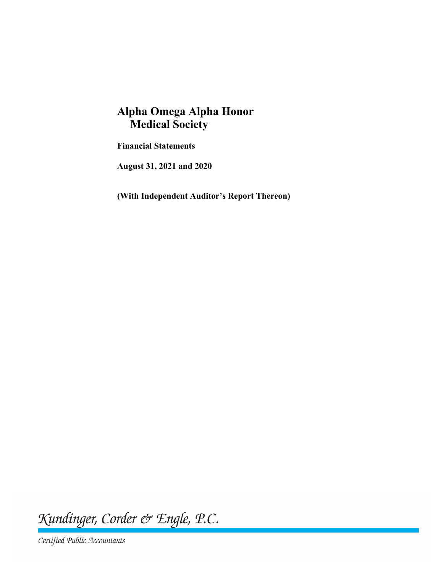# **Alpha Omega Alpha Honor Medical Society**

**Financial Statements**

**August 31, 2021 and 2020**

**(With Independent Auditor's Report Thereon)**

Kundinger, Corder & Engle, P.C.

Certified Public Accountants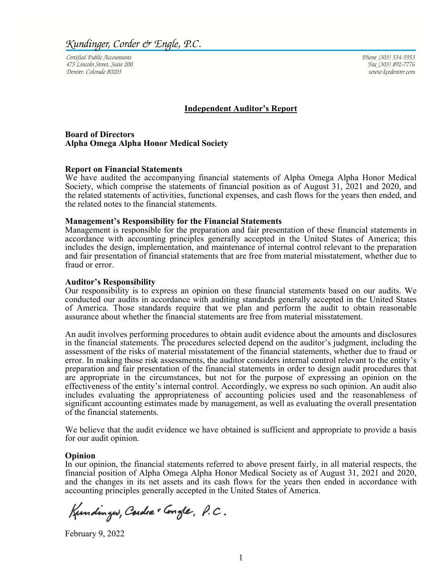Kundinger, Corder & Engle, P.C.

Certified Public Accountants 475 Lincoln Street, Suite 200 Denver, Colorado 80203

Phone (303) 534-5953 Fax (303) 892-7776 www.kcedenver.com

#### **Independent Auditor's Report**

#### **Board of Directors Alpha Omega Alpha Honor Medical Society**

#### **Report on Financial Statements**

We have audited the accompanying financial statements of Alpha Omega Alpha Honor Medical Society, which comprise the statements of financial position as of August 31, 2021 and 2020, and the related statements of activities, functional expenses, and cash flows for the years then ended, and the related notes to the financial statements.

#### **Management's Responsibility for the Financial Statements**

Management is responsible for the preparation and fair presentation of these financial statements in accordance with accounting principles generally accepted in the United States of America; this includes the design, implementation, and maintenance of internal control relevant to the preparation and fair presentation of financial statements that are free from material misstatement, whether due to fraud or error.

#### **Auditor's Responsibility**

Our responsibility is to express an opinion on these financial statements based on our audits. We conducted our audits in accordance with auditing standards generally accepted in the United States of America. Those standards require that we plan and perform the audit to obtain reasonable assurance about whether the financial statements are free from material misstatement.

An audit involves performing procedures to obtain audit evidence about the amounts and disclosures in the financial statements. The procedures selected depend on the auditor's judgment, including the assessment of the risks of material misstatement of the financial statements, whether due to fraud or error. In making those risk assessments, the auditor considers internal control relevant to the entity's preparation and fair presentation of the financial statements in order to design audit procedures that are appropriate in the circumstances, but not for the purpose of expressing an opinion on the effectiveness of the entity's internal control. Accordingly, we express no such opinion. An audit also includes evaluating the appropriateness of accounting policies used and the reasonableness of significant accounting estimates made by management, as well as evaluating the overall presentation of the financial statements.

We believe that the audit evidence we have obtained is sufficient and appropriate to provide a basis for our audit opinion.

#### **Opinion**

In our opinion, the financial statements referred to above present fairly, in all material respects, the financial position of Alpha Omega Alpha Honor Medical Society as of August 31, 2021 and 2020, and the changes in its net assets and its cash flows for the years then ended in accordance with accounting principles generally accepted in the United States of America.

Kundinger, Cardia "Congle, P.C.

February 9, 2022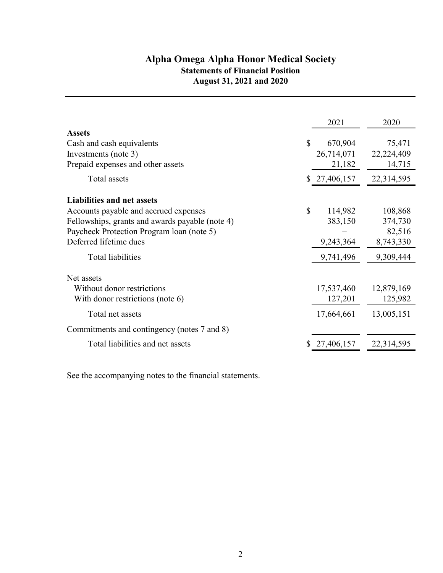## **Alpha Omega Alpha Honor Medical Society Statements of Financial Position August 31, 2021 and 2020**

| <b>Assets</b><br>\$<br>670,904<br>Cash and cash equivalents<br>26,714,071<br>22,224,409<br>Investments (note 3)<br>Prepaid expenses and other assets<br>21,182<br>14,715 | 75,471 |
|--------------------------------------------------------------------------------------------------------------------------------------------------------------------------|--------|
|                                                                                                                                                                          |        |
|                                                                                                                                                                          |        |
|                                                                                                                                                                          |        |
|                                                                                                                                                                          |        |
| Total assets<br>27,406,157<br>22,314,595                                                                                                                                 |        |
| <b>Liabilities and net assets</b>                                                                                                                                        |        |
| \$<br>Accounts payable and accrued expenses<br>114,982<br>108,868                                                                                                        |        |
| Fellowships, grants and awards payable (note 4)<br>383,150<br>374,730                                                                                                    |        |
| Paycheck Protection Program loan (note 5)                                                                                                                                | 82,516 |
| Deferred lifetime dues<br>8,743,330<br>9,243,364                                                                                                                         |        |
| <b>Total liabilities</b><br>9,741,496<br>9,309,444                                                                                                                       |        |
| Net assets                                                                                                                                                               |        |
| Without donor restrictions<br>12,879,169<br>17,537,460                                                                                                                   |        |
| 127,201<br>With donor restrictions (note 6)<br>125,982                                                                                                                   |        |
| Total net assets<br>17,664,661<br>13,005,151                                                                                                                             |        |
| Commitments and contingency (notes 7 and 8)                                                                                                                              |        |
| Total liabilities and net assets<br>27,406,157<br>22,314,595                                                                                                             |        |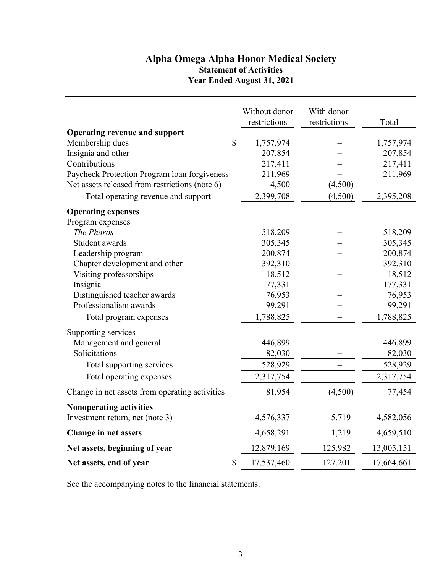## **Alpha Omega Alpha Honor Medical Society Statement of Activities Year Ended August 31, 2021**

|                                                | Without donor<br>restrictions | With donor<br>restrictions | Total      |
|------------------------------------------------|-------------------------------|----------------------------|------------|
| <b>Operating revenue and support</b>           |                               |                            |            |
| Membership dues<br>\$                          | 1,757,974                     |                            | 1,757,974  |
| Insignia and other                             | 207,854                       |                            | 207,854    |
| Contributions                                  | 217,411                       |                            | 217,411    |
| Paycheck Protection Program loan forgiveness   | 211,969                       |                            | 211,969    |
| Net assets released from restrictions (note 6) | 4,500                         | (4,500)                    |            |
| Total operating revenue and support            | 2,399,708                     | (4,500)                    | 2,395,208  |
| <b>Operating expenses</b>                      |                               |                            |            |
| Program expenses                               |                               |                            |            |
| The Pharos                                     | 518,209                       |                            | 518,209    |
| Student awards                                 | 305,345                       |                            | 305,345    |
| Leadership program                             | 200,874                       |                            | 200,874    |
| Chapter development and other                  | 392,310                       |                            | 392,310    |
| Visiting professorships                        | 18,512                        |                            | 18,512     |
| Insignia                                       | 177,331                       |                            | 177,331    |
| Distinguished teacher awards                   | 76,953                        |                            | 76,953     |
| Professionalism awards                         | 99,291                        |                            | 99,291     |
| Total program expenses                         | 1,788,825                     |                            | 1,788,825  |
| Supporting services                            |                               |                            |            |
| Management and general                         | 446,899                       |                            | 446,899    |
| Solicitations                                  | 82,030                        |                            | 82,030     |
| Total supporting services                      | 528,929                       |                            | 528,929    |
| Total operating expenses                       | 2,317,754                     |                            | 2,317,754  |
| Change in net assets from operating activities | 81,954                        | (4,500)                    | 77,454     |
| <b>Nonoperating activities</b>                 |                               |                            |            |
| Investment return, net (note 3)                | 4,576,337                     | 5,719                      | 4,582,056  |
| Change in net assets                           | 4,658,291                     | 1,219                      | 4,659,510  |
| Net assets, beginning of year                  | 12,879,169                    | 125,982                    | 13,005,151 |
| \$<br>Net assets, end of year                  | 17,537,460                    | 127,201                    | 17,664,661 |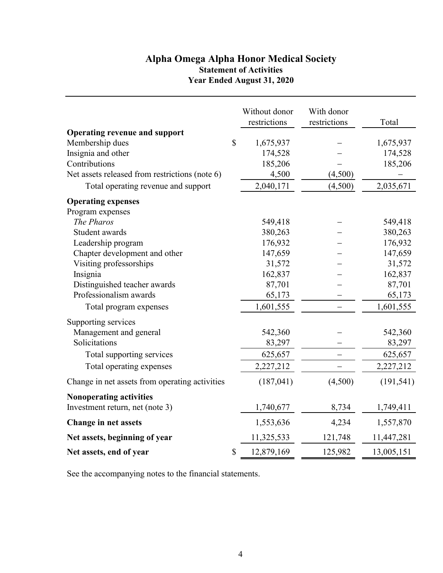## **Alpha Omega Alpha Honor Medical Society Statement of Activities Year Ended August 31, 2020**

|                                                | Without donor    | With donor   |            |
|------------------------------------------------|------------------|--------------|------------|
|                                                | restrictions     | restrictions | Total      |
| <b>Operating revenue and support</b>           |                  |              |            |
| Membership dues                                | \$<br>1,675,937  |              | 1,675,937  |
| Insignia and other                             | 174,528          |              | 174,528    |
| Contributions                                  | 185,206          |              | 185,206    |
| Net assets released from restrictions (note 6) | 4,500            | (4,500)      |            |
| Total operating revenue and support            | 2,040,171        | (4,500)      | 2,035,671  |
| <b>Operating expenses</b>                      |                  |              |            |
| Program expenses                               |                  |              |            |
| The Pharos                                     | 549,418          |              | 549,418    |
| Student awards                                 | 380,263          |              | 380,263    |
| Leadership program                             | 176,932          |              | 176,932    |
| Chapter development and other                  | 147,659          |              | 147,659    |
| Visiting professorships                        | 31,572           |              | 31,572     |
| Insignia                                       | 162,837          |              | 162,837    |
| Distinguished teacher awards                   | 87,701           |              | 87,701     |
| Professionalism awards                         | 65,173           |              | 65,173     |
| Total program expenses                         | 1,601,555        |              | 1,601,555  |
| Supporting services                            |                  |              |            |
| Management and general                         | 542,360          |              | 542,360    |
| Solicitations                                  | 83,297           |              | 83,297     |
| Total supporting services                      | 625,657          |              | 625,657    |
| Total operating expenses                       | 2,227,212        |              | 2,227,212  |
| Change in net assets from operating activities | (187, 041)       | (4,500)      | (191, 541) |
| <b>Nonoperating activities</b>                 |                  |              |            |
| Investment return, net (note 3)                | 1,740,677        | 8,734        | 1,749,411  |
| <b>Change in net assets</b>                    | 1,553,636        | 4,234        | 1,557,870  |
| Net assets, beginning of year                  | 11,325,533       | 121,748      | 11,447,281 |
| Net assets, end of year                        | \$<br>12,879,169 | 125,982      | 13,005,151 |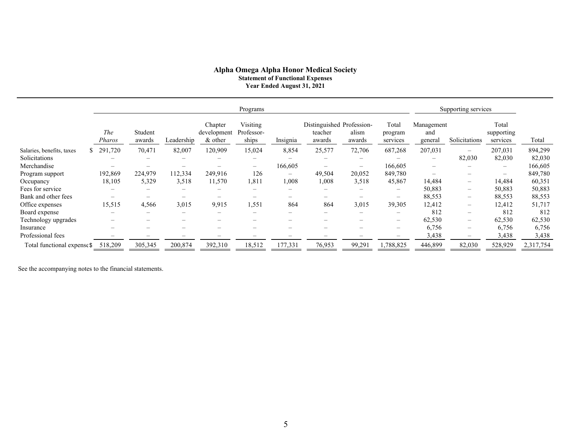#### **Alpha Omega Alpha Honor Medical Society Statement of Functional Expenses Year Ended August 31, 2021**

|                             | Programs                 |                          |                          |                                   |                                 |                          |                                                |                 |                              | Supporting services          |                                 |                                 |           |
|-----------------------------|--------------------------|--------------------------|--------------------------|-----------------------------------|---------------------------------|--------------------------|------------------------------------------------|-----------------|------------------------------|------------------------------|---------------------------------|---------------------------------|-----------|
|                             | <b>The</b><br>Pharos     | Student<br>awards        | Leadership               | Chapter<br>development<br>& other | Visiting<br>Professor-<br>ships | Insignia                 | Distinguished Profession-<br>teacher<br>awards | alism<br>awards | Total<br>program<br>services | Management<br>and<br>general | Solicitations                   | Total<br>supporting<br>services | Total     |
| Salaries, benefits, taxes   | 291,720<br>S.            | 70,471                   | 82,007                   | 120,909                           | 15,024                          | 8,854                    | 25,577                                         | 72,706          | 687,268                      | 207,031                      |                                 | 207,031                         | 894,299   |
| <b>Solicitations</b>        |                          |                          |                          |                                   |                                 |                          |                                                |                 |                              | $\overline{\phantom{0}}$     | 82,030                          | 82,030                          | 82,030    |
| Merchandise                 |                          |                          |                          |                                   | $\overline{\phantom{a}}$        | 166,605                  | -                                              | -               | 166,605                      | $\overline{\phantom{m}}$     | -                               | $\overline{\phantom{m}}$        | 166,605   |
| Program support             | 192,869                  | 224,979                  | 112,334                  | 249,916                           | 126                             | $\overline{\phantom{0}}$ | 49,504                                         | 20,052          | 849,780                      |                              |                                 | -                               | 849,780   |
| Occupancy                   | 18,105                   | 5,329                    | 3,518                    | 11,570                            | 1,811                           | 1,008                    | 1,008                                          | 3,518           | 45,867                       | 14,484                       | $\hspace{0.1mm}-\hspace{0.1mm}$ | 14,484                          | 60,351    |
| Fees for service            | $\overline{\phantom{a}}$ | $\overline{\phantom{0}}$ | $\overline{\phantom{0}}$ |                                   | —                               |                          | -                                              | –               | $\overline{\phantom{m}}$     | 50,883                       | $\overline{\phantom{m}}$        | 50,883                          | 50,883    |
| Bank and other fees         |                          |                          | $\overline{\phantom{0}}$ |                                   |                                 |                          |                                                |                 | $\overline{\phantom{m}}$     | 88,553                       | $\hspace{0.1mm}-\hspace{0.1mm}$ | 88,553                          | 88,553    |
| Office expenses             | 15,515                   | 4,566                    | 3,015                    | 9,915                             | 1,551                           | 864                      | 864                                            | 3,015           | 39,305                       | 12.412                       | $\overline{\phantom{m}}$        | 12.412                          | 51,717    |
| Board expense               |                          | $\overline{\phantom{0}}$ | $\overline{\phantom{0}}$ | –                                 | —                               |                          | -                                              | –               | $\overline{\phantom{m}}$     | 812                          | $\qquad \qquad =$               | 812                             | 812       |
| Technology upgrades         |                          |                          |                          |                                   |                                 |                          |                                                |                 | $\overline{\phantom{m}}$     | 62,530                       | $\qquad \qquad =$               | 62,530                          | 62,530    |
| Insurance                   |                          |                          |                          |                                   |                                 |                          |                                                |                 | $\overline{\phantom{m}}$     | 6,756                        | $\qquad \qquad =$               | 6,756                           | 6,756     |
| Professional fees           |                          |                          |                          |                                   |                                 |                          |                                                |                 |                              | 3,438                        |                                 | 3,438                           | 3,438     |
| Total functional expense \$ | 518,209                  | 305,345                  | 200,874                  | 392,310                           | 18,512                          | 177,331                  | 76,953                                         | 99,291          | 1,788,825                    | 446,899                      | 82,030                          | 528,929                         | 2,317,754 |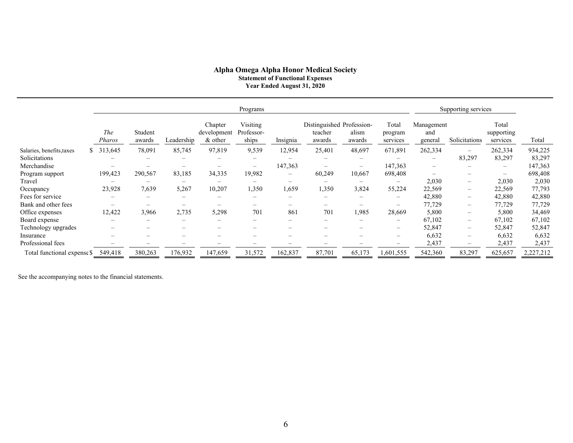#### **Alpha Omega Alpha Honor Medical Society Statement of Functional Expenses Year Ended August 31, 2020**

|                             | Programs                 |                          |                          |                                   |                                 |                          |                                                |                          | Supporting services          |                              |                                 |                                 |           |
|-----------------------------|--------------------------|--------------------------|--------------------------|-----------------------------------|---------------------------------|--------------------------|------------------------------------------------|--------------------------|------------------------------|------------------------------|---------------------------------|---------------------------------|-----------|
|                             | <i>The</i><br>Pharos     | Student<br>awards        | Leadership               | Chapter<br>development<br>& other | Visiting<br>Professor-<br>ships | Insignia                 | Distinguished Profession-<br>teacher<br>awards | alism<br>awards          | Total<br>program<br>services | Management<br>and<br>general | Solicitations                   | Total<br>supporting<br>services | Total     |
| Salaries, benefits, taxes   | 313,645<br>S.            | 78,091                   | 85,745                   | 97,819                            | 9,539                           | 12,954                   | 25,401                                         | 48,697                   | 671,891                      | 262,334                      | $\overline{\phantom{a}}$        | 262,334                         | 934,225   |
| <b>Solicitations</b>        |                          |                          |                          |                                   |                                 |                          |                                                |                          |                              | $\equiv$                     | 83,297                          | 83,297                          | 83,297    |
| Merchandise                 | $\sim$                   |                          | $\overline{\phantom{0}}$ | –                                 | $\overline{\phantom{a}}$        | 147,363                  | -                                              | $\overline{\phantom{0}}$ | 147,363                      | $\overline{\phantom{m}}$     | $\overline{\phantom{m}}$        | $\overline{\phantom{m}}$        | 147,363   |
| Program support             | 199,423                  | 290,567                  | 83,185                   | 34,335                            | 19,982                          | $\overline{\phantom{0}}$ | 60,249                                         | 10,667                   | 698,408                      | $\overline{\phantom{m}}$     | $\hspace{0.1mm}-\hspace{0.1mm}$ | $\overline{\phantom{m}}$        | 698,408   |
| Travel                      | -                        | $\overline{\phantom{0}}$ | $\overline{\phantom{0}}$ | –                                 | —                               | $\overline{\phantom{0}}$ | $\overline{\phantom{0}}$                       | $\qquad \qquad$          | $\overline{\phantom{m}}$     | 2,030                        | $\overline{\phantom{m}}$        | 2,030                           | 2,030     |
| Occupancy                   | 23,928                   | 7,639                    | 5,267                    | 10,207                            | 1,350                           | 1,659                    | 1,350                                          | 3,824                    | 55,224                       | 22,569                       | $\overline{\phantom{0}}$        | 22,569                          | 77,793    |
| Fees for service            |                          |                          |                          |                                   |                                 |                          |                                                |                          | $\overline{\phantom{m}}$     | 42,880                       | $\qquad \qquad =$               | 42,880                          | 42,880    |
| Bank and other fees         |                          |                          |                          |                                   |                                 |                          |                                                |                          | $\overline{\phantom{m}}$     | 77,729                       | $\overline{\phantom{m}}$        | 77,729                          | 77,729    |
| Office expenses             | 12,422                   | 3,966                    | 2,735                    | 5,298                             | 701                             | 861                      | 701                                            | ,985                     | 28,669                       | 5,800                        | $\overline{\phantom{m}}$        | 5,800                           | 34,469    |
| Board expense               | $\overline{\phantom{0}}$ | $\overline{\phantom{0}}$ | $\overline{\phantom{0}}$ | –                                 | —                               | —                        | $\overline{\phantom{0}}$                       | —                        | $\overline{\phantom{m}}$     | 67,102                       | $\qquad \qquad =$               | 67,102                          | 67,102    |
| Technology upgrades         |                          |                          |                          |                                   |                                 |                          |                                                |                          | $\overline{\phantom{m}}$     | 52,847                       | $\qquad \qquad =$               | 52,847                          | 52,847    |
| Insurance                   | $\overline{\phantom{0}}$ |                          |                          |                                   |                                 |                          |                                                |                          | $\overline{\phantom{m}}$     | 6,632                        | $\overline{\phantom{0}}$        | 6,632                           | 6,632     |
| Professional fees           |                          |                          |                          |                                   |                                 |                          |                                                |                          |                              | 2,437                        |                                 | 2,437                           | 2,437     |
| Total functional expense \$ | 549,418                  | 380,263                  | 176,932                  | 147,659                           | 31,572                          | 162,837                  | 87,701                                         | 65,173                   | 1,601,555                    | 542,360                      | 83,297                          | 625,657                         | 2,227,212 |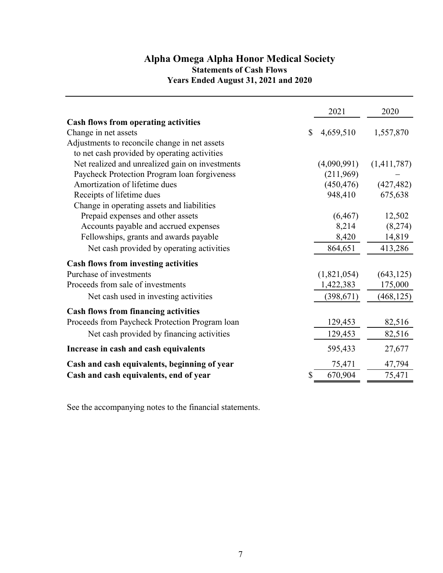## **Alpha Omega Alpha Honor Medical Society Statements of Cash Flows Years Ended August 31, 2021 and 2020**

|                                                 | 2021            | 2020        |
|-------------------------------------------------|-----------------|-------------|
| <b>Cash flows from operating activities</b>     |                 |             |
| Change in net assets                            | \$<br>4,659,510 | 1,557,870   |
| Adjustments to reconcile change in net assets   |                 |             |
| to net cash provided by operating activities    |                 |             |
| Net realized and unrealized gain on investments | (4,090,991)     | (1,411,787) |
| Paycheck Protection Program loan forgiveness    | (211,969)       |             |
| Amortization of lifetime dues                   | (450, 476)      | (427, 482)  |
| Receipts of lifetime dues                       | 948,410         | 675,638     |
| Change in operating assets and liabilities      |                 |             |
| Prepaid expenses and other assets               | (6, 467)        | 12,502      |
| Accounts payable and accrued expenses           | 8,214           | (8,274)     |
| Fellowships, grants and awards payable          | 8,420           | 14,819      |
| Net cash provided by operating activities       | 864,651         | 413,286     |
| <b>Cash flows from investing activities</b>     |                 |             |
| Purchase of investments                         | (1,821,054)     | (643, 125)  |
| Proceeds from sale of investments               | 1,422,383       | 175,000     |
| Net cash used in investing activities           | (398, 671)      | (468, 125)  |
| <b>Cash flows from financing activities</b>     |                 |             |
| Proceeds from Paycheck Protection Program loan  | 129,453         | 82,516      |
| Net cash provided by financing activities       | 129,453         | 82,516      |
| Increase in cash and cash equivalents           | 595,433         | 27,677      |
| Cash and cash equivalents, beginning of year    | 75,471          | 47,794      |
| Cash and cash equivalents, end of year          | \$<br>670,904   | 75,471      |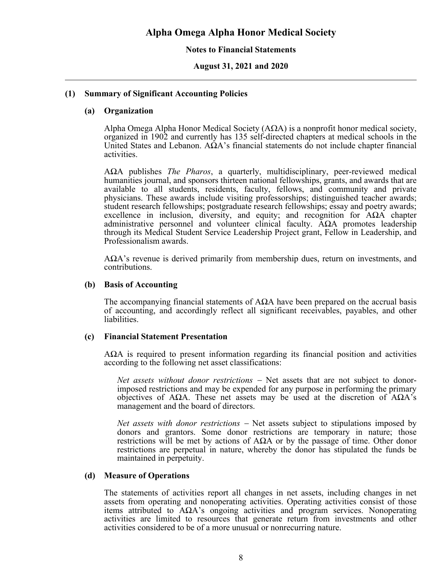## **Alpha Omega Alpha Honor Medical Society**

#### **Notes to Financial Statements**

**August 31, 2021 and 2020**

#### **(1) Summary of Significant Accounting Policies**

#### **(a) Organization**

Alpha Omega Alpha Honor Medical Society  $(A\Omega A)$  is a nonprofit honor medical society, organized in 1902 and currently has 135 self-directed chapters at medical schools in the United States and Lebanon.  $A\Omega A$ 's financial statements do not include chapter financial activities.

AΩA publishes *The Pharos*, a quarterly, multidisciplinary, peer-reviewed medical humanities journal, and sponsors thirteen national fellowships, grants, and awards that are available to all students, residents, faculty, fellows, and community and private physicians. These awards include visiting professorships; distinguished teacher awards; student research fellowships; postgraduate research fellowships; essay and poetry awards; excellence in inclusion, diversity, and equity; and recognition for  $A\Omega A$  chapter administrative personnel and volunteer clinical faculty. AΩA promotes leadership through its Medical Student Service Leadership Project grant, Fellow in Leadership, and Professionalism awards.

AΩA's revenue is derived primarily from membership dues, return on investments, and contributions.

#### **(b) Basis of Accounting**

The accompanying financial statements of  $A\Omega A$  have been prepared on the accrual basis of accounting, and accordingly reflect all significant receivables, payables, and other liabilities.

#### **(c) Financial Statement Presentation**

AΩA is required to present information regarding its financial position and activities according to the following net asset classifications:

*Net assets without donor restrictions* – Net assets that are not subject to donorimposed restrictions and may be expended for any purpose in performing the primary objectives of AΩA. These net assets may be used at the discretion of AΩA's management and the board of directors.

*Net assets with donor restrictions* – Net assets subject to stipulations imposed by donors and grantors. Some donor restrictions are temporary in nature; those restrictions will be met by actions of A $\Omega$ A or by the passage of time. Other donor restrictions are perpetual in nature, whereby the donor has stipulated the funds be maintained in perpetuity.

#### **(d) Measure of Operations**

The statements of activities report all changes in net assets, including changes in net assets from operating and nonoperating activities. Operating activities consist of those items attributed to  $A\Omega A$ 's ongoing activities and program services. Nonoperating activities are limited to resources that generate return from investments and other activities considered to be of a more unusual or nonrecurring nature.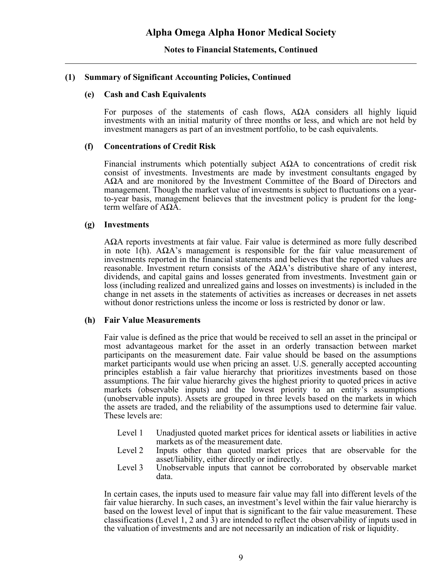## **(1) Summary of Significant Accounting Policies, Continued**

#### **(e) Cash and Cash Equivalents**

For purposes of the statements of cash flows, A $\Omega$ A considers all highly liquid investments with an initial maturity of three months or less, and which are not held by investment managers as part of an investment portfolio, to be cash equivalents.

## **(f) Concentrations of Credit Risk**

Financial instruments which potentially subject  $A\Omega A$  to concentrations of credit risk consist of investments. Investments are made by investment consultants engaged by AΩA and are monitored by the Investment Committee of the Board of Directors and management. Though the market value of investments is subject to fluctuations on a yearto-year basis, management believes that the investment policy is prudent for the longterm welfare of AΩA.

#### **(g) Investments**

AΩA reports investments at fair value. Fair value is determined as more fully described in note  $1(h)$ . A $\Omega A$ 's management is responsible for the fair value measurement of investments reported in the financial statements and believes that the reported values are reasonable. Investment return consists of the  $A\Omega A$ 's distributive share of any interest, dividends, and capital gains and losses generated from investments. Investment gain or loss (including realized and unrealized gains and losses on investments) is included in the change in net assets in the statements of activities as increases or decreases in net assets without donor restrictions unless the income or loss is restricted by donor or law.

#### **(h) Fair Value Measurements**

Fair value is defined as the price that would be received to sell an asset in the principal or most advantageous market for the asset in an orderly transaction between market participants on the measurement date. Fair value should be based on the assumptions market participants would use when pricing an asset. U.S. generally accepted accounting principles establish a fair value hierarchy that prioritizes investments based on those assumptions. The fair value hierarchy gives the highest priority to quoted prices in active markets (observable inputs) and the lowest priority to an entity's assumptions (unobservable inputs). Assets are grouped in three levels based on the markets in which the assets are traded, and the reliability of the assumptions used to determine fair value. These levels are:

- Level 1 Unadjusted quoted market prices for identical assets or liabilities in active markets as of the measurement date.
- Level 2 Inputs other than quoted market prices that are observable for the asset/liability, either directly or indirectly.
- Level 3 Unobservable inputs that cannot be corroborated by observable market data.

In certain cases, the inputs used to measure fair value may fall into different levels of the fair value hierarchy. In such cases, an investment's level within the fair value hierarchy is based on the lowest level of input that is significant to the fair value measurement. These classifications (Level 1, 2 and 3) are intended to reflect the observability of inputs used in the valuation of investments and are not necessarily an indication of risk or liquidity.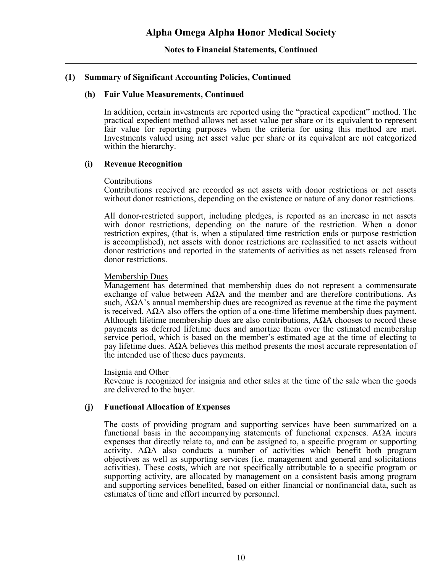## **(1) Summary of Significant Accounting Policies, Continued**

## **(h) Fair Value Measurements, Continued**

In addition, certain investments are reported using the "practical expedient" method. The practical expedient method allows net asset value per share or its equivalent to represent fair value for reporting purposes when the criteria for using this method are met. Investments valued using net asset value per share or its equivalent are not categorized within the hierarchy.

## **(i) Revenue Recognition**

#### Contributions

Contributions received are recorded as net assets with donor restrictions or net assets without donor restrictions, depending on the existence or nature of any donor restrictions.

All donor-restricted support, including pledges, is reported as an increase in net assets with donor restrictions, depending on the nature of the restriction. When a donor restriction expires, (that is, when a stipulated time restriction ends or purpose restriction is accomplished), net assets with donor restrictions are reclassified to net assets without donor restrictions and reported in the statements of activities as net assets released from donor restrictions.

#### Membership Dues

Management has determined that membership dues do not represent a commensurate exchange of value between  $A\Omega A$  and the member and are therefore contributions. As such,  $\widehat{A\Omega}A$ 's annual membership dues are recognized as revenue at the time the payment is received.  $A\Omega A$  also offers the option of a one-time lifetime membership dues payment. Although lifetime membership dues are also contributions,  $A\Omega A$  chooses to record these payments as deferred lifetime dues and amortize them over the estimated membership service period, which is based on the member's estimated age at the time of electing to pay lifetime dues. A $\Omega$ A believes this method presents the most accurate representation of the intended use of these dues payments.

#### Insignia and Other

Revenue is recognized for insignia and other sales at the time of the sale when the goods are delivered to the buyer.

#### **(j) Functional Allocation of Expenses**

The costs of providing program and supporting services have been summarized on a functional basis in the accompanying statements of functional expenses. A $\Omega A$  incurs expenses that directly relate to, and can be assigned to, a specific program or supporting activity. A $\Omega$ A also conducts a number of activities which benefit both program objectives as well as supporting services (i.e. management and general and solicitations activities). These costs, which are not specifically attributable to a specific program or supporting activity, are allocated by management on a consistent basis among program and supporting services benefited, based on either financial or nonfinancial data, such as estimates of time and effort incurred by personnel.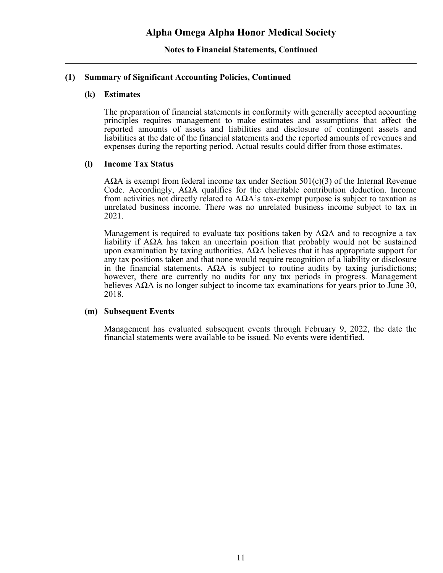## **(1) Summary of Significant Accounting Policies, Continued**

## **(k) Estimates**

The preparation of financial statements in conformity with generally accepted accounting principles requires management to make estimates and assumptions that affect the reported amounts of assets and liabilities and disclosure of contingent assets and liabilities at the date of the financial statements and the reported amounts of revenues and expenses during the reporting period. Actual results could differ from those estimates.

## **(l) Income Tax Status**

AΩA is exempt from federal income tax under Section  $501(c)(3)$  of the Internal Revenue Code. Accordingly,  $A\Omega A$  qualifies for the charitable contribution deduction. Income from activities not directly related to  $A\Omega A$ 's tax-exempt purpose is subject to taxation as unrelated business income. There was no unrelated business income subject to tax in 2021.

Management is required to evaluate tax positions taken by  $A\Omega A$  and to recognize a tax liability if A $\Omega$ A has taken an uncertain position that probably would not be sustained upon examination by taxing authorities. A $\Omega$ A believes that it has appropriate support for any tax positions taken and that none would require recognition of a liability or disclosure in the financial statements. A $\Omega A$  is subject to routine audits by taxing jurisdictions; however, there are currently no audits for any tax periods in progress. Management believes A $\Omega$ A is no longer subject to income tax examinations for years prior to June 30, 2018.

#### **(m) Subsequent Events**

Management has evaluated subsequent events through February 9, 2022, the date the financial statements were available to be issued. No events were identified.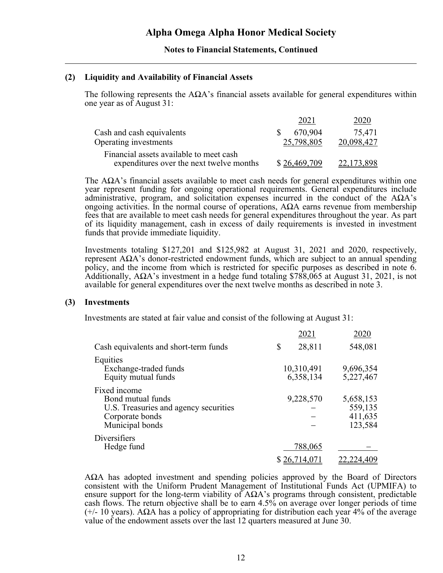#### **(2) Liquidity and Availability of Financial Assets**

The following represents the  $A\Omega A$ 's financial assets available for general expenditures within one year as of August 31:

|                                                                                     | 2021         | 2020         |
|-------------------------------------------------------------------------------------|--------------|--------------|
| Cash and cash equivalents                                                           | 670.904      | 75,471       |
| Operating investments                                                               | 25,798,805   | 20,098,427   |
| Financial assets available to meet cash<br>expenditures over the next twelve months | \$26,469,709 | 22, 173, 898 |

The  $A\Omega A$ 's financial assets available to meet cash needs for general expenditures within one year represent funding for ongoing operational requirements. General expenditures include administrative, program, and solicitation expenses incurred in the conduct of the  $A\Omega A$ 's ongoing activities. In the normal course of operations,  $AΩA$  earns revenue from membership fees that are available to meet cash needs for general expenditures throughout the year. As part of its liquidity management, cash in excess of daily requirements is invested in investment funds that provide immediate liquidity.

Investments totaling \$127,201 and \$125,982 at August 31, 2021 and 2020, respectively, represent AΩA's donor-restricted endowment funds, which are subject to an annual spending policy, and the income from which is restricted for specific purposes as described in note 6. Additionally,  $A\Omega A$ 's investment in a hedge fund totaling \$788,065 at August 31, 2021, is not available for general expenditures over the next twelve months as described in note 3.

#### **(3) Investments**

Investments are stated at fair value and consist of the following at August 31:

|                                                                                                                  | 2021                    | 2020                                       |
|------------------------------------------------------------------------------------------------------------------|-------------------------|--------------------------------------------|
| Cash equivalents and short-term funds                                                                            | \$<br>28,811            | 548,081                                    |
| Equities<br>Exchange-traded funds<br>Equity mutual funds                                                         | 10,310,491<br>6,358,134 | 9,696,354<br>5,227,467                     |
| Fixed income<br>Bond mutual funds<br>U.S. Treasuries and agency securities<br>Corporate bonds<br>Municipal bonds | 9,228,570               | 5,658,153<br>559,135<br>411,635<br>123,584 |
| Diversifiers<br>Hedge fund                                                                                       | 788,065<br>\$26,714,071 | 22,224,409                                 |

AΩA has adopted investment and spending policies approved by the Board of Directors consistent with the Uniform Prudent Management of Institutional Funds Act (UPMIFA) to ensure support for the long-term viability of  $A\Omega A$ 's programs through consistent, predictable cash flows. The return objective shall be to earn 4.5% on average over longer periods of time (+/- 10 years). AΩA has a policy of appropriating for distribution each year 4% of the average value of the endowment assets over the last 12 quarters measured at June 30.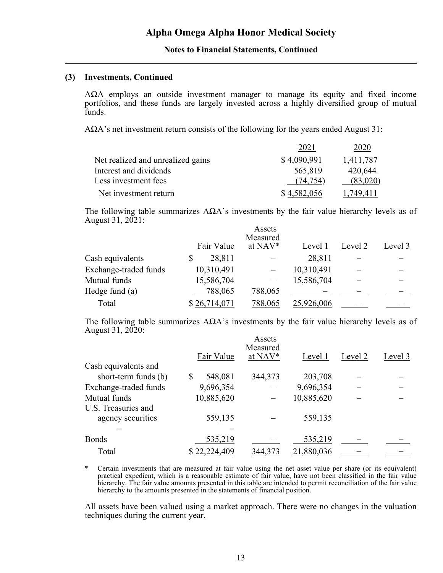#### **(3) Investments, Continued**

AΩA employs an outside investment manager to manage its equity and fixed income portfolios, and these funds are largely invested across a highly diversified group of mutual funds.

AΩA's net investment return consists of the following for the years ended August 31:

|                                   | 2021        | 2020      |
|-----------------------------------|-------------|-----------|
| Net realized and unrealized gains | \$4,090,991 | 1,411,787 |
| Interest and dividends            | 565,819     | 420,644   |
| Less investment fees              | (74, 754)   | (83,020)  |
| Net investment return             | \$4,582,056 | 1.749.411 |

The following table summarizes  $A\Omega A$ 's investments by the fair value hierarchy levels as of August 31, 2021:

|                       |              | Assets<br>Measured |            |         |         |
|-----------------------|--------------|--------------------|------------|---------|---------|
|                       | Fair Value   | at NAV*            | Level 1    | Level 2 | Level 3 |
| Cash equivalents      | 28,811<br>\$ |                    | 28,811     |         |         |
| Exchange-traded funds | 10,310,491   |                    | 10,310,491 |         |         |
| Mutual funds          | 15,586,704   |                    | 15,586,704 |         |         |
| Hedge fund (a)        | 788,065      | 788,065            |            |         |         |
| Total                 | \$26,714,071 | <u>788,065</u>     | 25,926,006 |         |         |

The following table summarizes  $A\Omega A$ 's investments by the fair value hierarchy levels as of August 31, 2020:

|                       |               | Assets<br>Measured |            |         |         |
|-----------------------|---------------|--------------------|------------|---------|---------|
|                       | Fair Value    | at NAV*            | Level 1    | Level 2 | Level 3 |
| Cash equivalents and  |               |                    |            |         |         |
| short-term funds (b)  | \$<br>548,081 | 344,373            | 203,708    |         |         |
| Exchange-traded funds | 9,696,354     |                    | 9,696,354  |         |         |
| Mutual funds          | 10,885,620    |                    | 10,885,620 |         |         |
| U.S. Treasuries and   |               |                    |            |         |         |
| agency securities     | 559,135       |                    | 559,135    |         |         |
|                       |               |                    |            |         |         |
| <b>Bonds</b>          | 535,219       |                    | 535,219    |         |         |
| Total                 | \$22,224,409  | <u>344,373</u>     | 21,880,036 |         |         |

\* Certain investments that are measured at fair value using the net asset value per share (or its equivalent) practical expedient, which is a reasonable estimate of fair value, have not been classified in the fair value hierarchy. The fair value amounts presented in this table are intended to permit reconciliation of the fair value hierarchy to the amounts presented in the statements of financial position.

All assets have been valued using a market approach. There were no changes in the valuation techniques during the current year.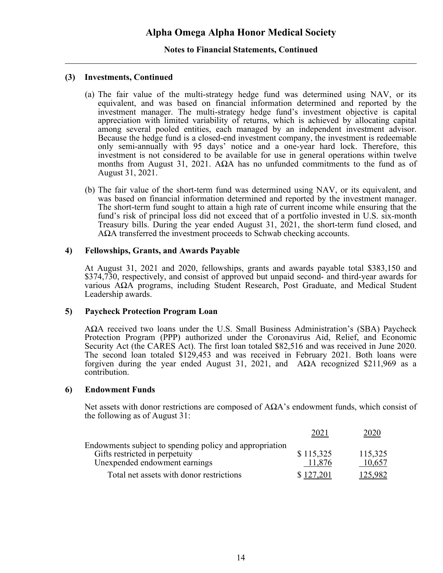## **Alpha Omega Alpha Honor Medical Society**

## **Notes to Financial Statements, Continued**

#### **(3) Investments, Continued**

- (a) The fair value of the multi-strategy hedge fund was determined using NAV, or its equivalent, and was based on financial information determined and reported by the investment manager. The multi-strategy hedge fund's investment objective is capital appreciation with limited variability of returns, which is achieved by allocating capital among several pooled entities, each managed by an independent investment advisor. Because the hedge fund is a closed-end investment company, the investment is redeemable only semi-annually with 95 days' notice and a one-year hard lock. Therefore, this investment is not considered to be available for use in general operations within twelve months from August 31, 2021. A $\Omega$ A has no unfunded commitments to the fund as of August 31, 2021.
- (b) The fair value of the short-term fund was determined using NAV, or its equivalent, and was based on financial information determined and reported by the investment manager. The short-term fund sought to attain a high rate of current income while ensuring that the fund's risk of principal loss did not exceed that of a portfolio invested in U.S. six-month Treasury bills. During the year ended August 31, 2021, the short-term fund closed, and AΩA transferred the investment proceeds to Schwab checking accounts.

## **4) Fellowships, Grants, and Awards Payable**

At August 31, 2021 and 2020, fellowships, grants and awards payable total \$383,150 and \$374,730, respectively, and consist of approved but unpaid second- and third-year awards for various AΩA programs, including Student Research, Post Graduate, and Medical Student Leadership awards.

#### **5) Paycheck Protection Program Loan**

AΩA received two loans under the U.S. Small Business Administration's (SBA) Paycheck Protection Program (PPP) authorized under the Coronavirus Aid, Relief, and Economic Security Act (the CARES Act). The first loan totaled \$82,516 and was received in June 2020. The second loan totaled \$129,453 and was received in February 2021. Both loans were forgiven during the year ended August 31, 2021, and A $\Omega$ A recognized \$211,969 as a contribution.

#### **6) Endowment Funds**

Net assets with donor restrictions are composed of  $A\Omega A$ 's endowment funds, which consist of the following as of August 31:

| Endowments subject to spending policy and appropriation |           |                |
|---------------------------------------------------------|-----------|----------------|
| Gifts restricted in perpetuity                          | \$115,325 | 115,325        |
| Unexpended endowment earnings                           | 11.876    | 10.657         |
| Total net assets with donor restrictions                | \$127,201 | <u>125,982</u> |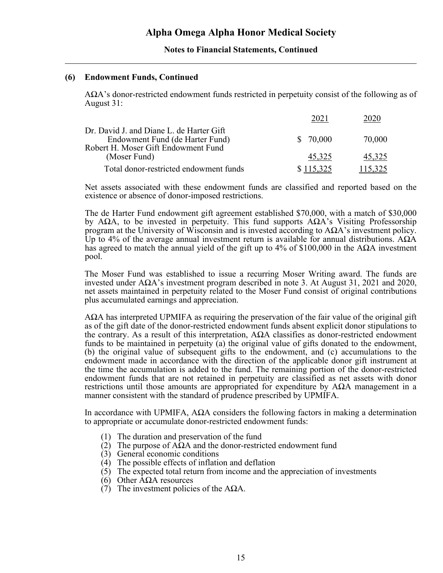#### **(6) Endowment Funds, Continued**

AΩA's donor-restricted endowment funds restricted in perpetuity consist of the following as of August 31:

|                                                                                                                    | 2023      | 2020    |
|--------------------------------------------------------------------------------------------------------------------|-----------|---------|
| Dr. David J. and Diane L. de Harter Gift<br>Endowment Fund (de Harter Fund)<br>Robert H. Moser Gift Endowment Fund | \$70,000  | 70,000  |
| (Moser Fund)                                                                                                       | 45,325    | 45,325  |
| Total donor-restricted endowment funds                                                                             | \$115,325 | 115,325 |

Net assets associated with these endowment funds are classified and reported based on the existence or absence of donor-imposed restrictions.

The de Harter Fund endowment gift agreement established \$70,000, with a match of \$30,000 by AΩA, to be invested in perpetuity. This fund supports AΩA's Visiting Professorship program at the University of Wisconsin and is invested according to  $A\Omega A$ 's investment policy. Up to 4% of the average annual investment return is available for annual distributions. A $\Omega A$ has agreed to match the annual yield of the gift up to 4% of \$100,000 in the A $\Omega$ A investment pool.

The Moser Fund was established to issue a recurring Moser Writing award. The funds are invested under AΩA's investment program described in note 3. At August 31, 2021 and 2020, net assets maintained in perpetuity related to the Moser Fund consist of original contributions plus accumulated earnings and appreciation.

AΩA has interpreted UPMIFA as requiring the preservation of the fair value of the original gift as of the gift date of the donor-restricted endowment funds absent explicit donor stipulations to the contrary. As a result of this interpretation,  $A\Omega A$  classifies as donor-restricted endowment funds to be maintained in perpetuity (a) the original value of gifts donated to the endowment, (b) the original value of subsequent gifts to the endowment, and (c) accumulations to the endowment made in accordance with the direction of the applicable donor gift instrument at the time the accumulation is added to the fund. The remaining portion of the donor-restricted endowment funds that are not retained in perpetuity are classified as net assets with donor restrictions until those amounts are appropriated for expenditure by A $\Omega A$  management in a manner consistent with the standard of prudence prescribed by UPMIFA.

In accordance with UPMIFA, A $\Omega$ A considers the following factors in making a determination to appropriate or accumulate donor-restricted endowment funds:

- (1) The duration and preservation of the fund
- (2) The purpose of  $\widehat{A\Omega}A$  and the donor-restricted endowment fund
- (3) General economic conditions
- (4) The possible effects of inflation and deflation
- (5) The expected total return from income and the appreciation of investments
- (6) Other  $\overline{A}\Omega A$  resources
- (7) The investment policies of the  $A\Omega A$ .